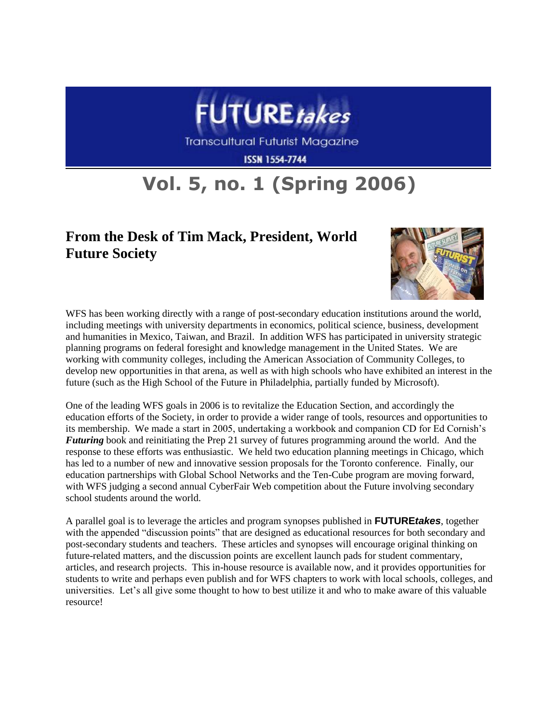

## **Vol. 5, no. 1 (Spring 2006)**

## **From the Desk of Tim Mack, President, World Future Society**



WFS has been working directly with a range of post-secondary education institutions around the world, including meetings with university departments in economics, political science, business, development and humanities in Mexico, Taiwan, and Brazil. In addition WFS has participated in university strategic planning programs on federal foresight and knowledge management in the United States. We are working with community colleges, including the American Association of Community Colleges, to develop new opportunities in that arena, as well as with high schools who have exhibited an interest in the future (such as the High School of the Future in Philadelphia, partially funded by Microsoft).

One of the leading WFS goals in 2006 is to revitalize the Education Section, and accordingly the education efforts of the Society, in order to provide a wider range of tools, resources and opportunities to its membership. We made a start in 2005, undertaking a workbook and companion CD for Ed Cornish's *Futuring* book and reinitiating the Prep 21 survey of futures programming around the world. And the response to these efforts was enthusiastic. We held two education planning meetings in Chicago, which has led to a number of new and innovative session proposals for the Toronto conference. Finally, our education partnerships with Global School Networks and the Ten-Cube program are moving forward, with WFS judging a second annual CyberFair Web competition about the Future involving secondary school students around the world.

A parallel goal is to leverage the articles and program synopses published in **FUTURE***takes*, together with the appended "discussion points" that are designed as educational resources for both secondary and post-secondary students and teachers. These articles and synopses will encourage original thinking on future-related matters, and the discussion points are excellent launch pads for student commentary, articles, and research projects. This in-house resource is available now, and it provides opportunities for students to write and perhaps even publish and for WFS chapters to work with local schools, colleges, and universities. Let's all give some thought to how to best utilize it and who to make aware of this valuable resource!